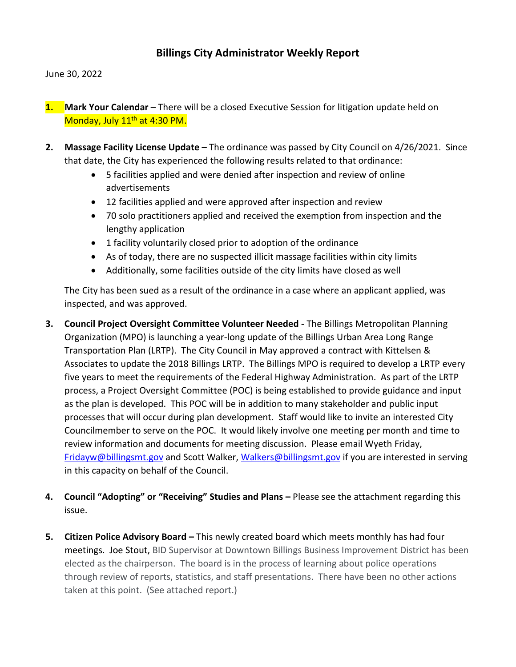## **Billings City Administrator Weekly Report**

June 30, 2022

- **1.** Mark Your Calendar There will be a closed Executive Session for litigation update held on Monday, July 11<sup>th</sup> at 4:30 PM.
- **2. Massage Facility License Update –** The ordinance was passed by City Council on 4/26/2021. Since that date, the City has experienced the following results related to that ordinance:
	- 5 facilities applied and were denied after inspection and review of online advertisements
	- 12 facilities applied and were approved after inspection and review
	- 70 solo practitioners applied and received the exemption from inspection and the lengthy application
	- 1 facility voluntarily closed prior to adoption of the ordinance
	- As of today, there are no suspected illicit massage facilities within city limits
	- Additionally, some facilities outside of the city limits have closed as well

The City has been sued as a result of the ordinance in a case where an applicant applied, was inspected, and was approved.

- **3. Council Project Oversight Committee Volunteer Needed -** The Billings Metropolitan Planning Organization (MPO) is launching a year-long update of the Billings Urban Area Long Range Transportation Plan (LRTP). The City Council in May approved a contract with Kittelsen & Associates to update the 2018 Billings LRTP. The Billings MPO is required to develop a LRTP every five years to meet the requirements of the Federal Highway Administration. As part of the LRTP process, a Project Oversight Committee (POC) is being established to provide guidance and input as the plan is developed. This POC will be in addition to many stakeholder and public input processes that will occur during plan development. Staff would like to invite an interested City Councilmember to serve on the POC. It would likely involve one meeting per month and time to review information and documents for meeting discussion. Please email Wyeth Friday, [Fridayw@billingsmt.gov](mailto:Fridayw@billingsmt.gov) and Scott Walker[, Walkers@billingsmt.gov](mailto:Walkers@billingsmt.gov) if you are interested in serving in this capacity on behalf of the Council.
- **4. Council "Adopting" or "Receiving" Studies and Plans –** Please see the attachment regarding this issue.
- **5. Citizen Police Advisory Board –** This newly created board which meets monthly has had four meetings. Joe Stout, BID Supervisor at Downtown Billings Business Improvement District has been elected as the chairperson. The board is in the process of learning about police operations through review of reports, statistics, and staff presentations. There have been no other actions taken at this point. (See attached report.)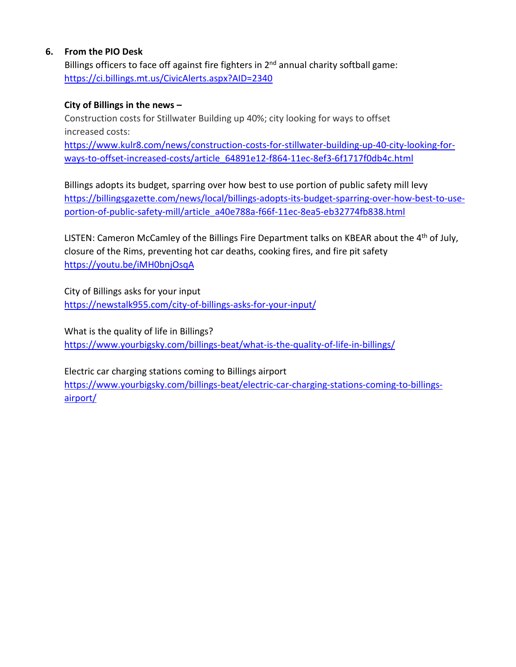#### **6. From the PIO Desk**

Billings officers to face off against fire fighters in  $2^{nd}$  annual charity softball game: <https://ci.billings.mt.us/CivicAlerts.aspx?AID=2340>

#### **City of Billings in the news –**

Construction costs for Stillwater Building up 40%; city looking for ways to offset increased costs: [https://www.kulr8.com/news/construction-costs-for-stillwater-building-up-40-city-looking-for](https://www.kulr8.com/news/construction-costs-for-stillwater-building-up-40-city-looking-for-ways-to-offset-increased-costs/article_64891e12-f864-11ec-8ef3-6f1717f0db4c.html)[ways-to-offset-increased-costs/article\\_64891e12-f864-11ec-8ef3-6f1717f0db4c.html](https://www.kulr8.com/news/construction-costs-for-stillwater-building-up-40-city-looking-for-ways-to-offset-increased-costs/article_64891e12-f864-11ec-8ef3-6f1717f0db4c.html)

Billings adopts its budget, sparring over how best to use portion of public safety mill levy [https://billingsgazette.com/news/local/billings-adopts-its-budget-sparring-over-how-best-to-use](https://billingsgazette.com/news/local/billings-adopts-its-budget-sparring-over-how-best-to-use-portion-of-public-safety-mill/article_a40e788a-f66f-11ec-8ea5-eb32774fb838.html)[portion-of-public-safety-mill/article\\_a40e788a-f66f-11ec-8ea5-eb32774fb838.html](https://billingsgazette.com/news/local/billings-adopts-its-budget-sparring-over-how-best-to-use-portion-of-public-safety-mill/article_a40e788a-f66f-11ec-8ea5-eb32774fb838.html)

LISTEN: Cameron McCamley of the Billings Fire Department talks on KBEAR about the 4<sup>th</sup> of July, closure of the Rims, preventing hot car deaths, cooking fires, and fire pit safety <https://youtu.be/iMH0bnjOsqA>

City of Billings asks for your input <https://newstalk955.com/city-of-billings-asks-for-your-input/>

What is the quality of life in Billings? <https://www.yourbigsky.com/billings-beat/what-is-the-quality-of-life-in-billings/>

Electric car charging stations coming to Billings airport [https://www.yourbigsky.com/billings-beat/electric-car-charging-stations-coming-to-billings](https://www.yourbigsky.com/billings-beat/electric-car-charging-stations-coming-to-billings-airport/)[airport/](https://www.yourbigsky.com/billings-beat/electric-car-charging-stations-coming-to-billings-airport/)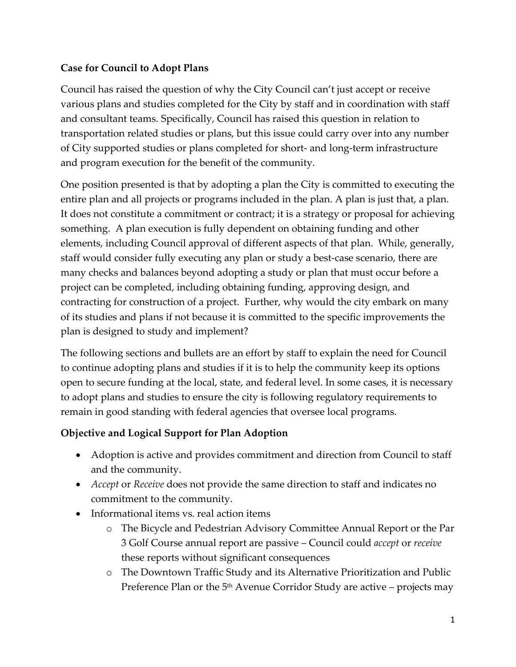#### **Case for Council to Adopt Plans**

Council has raised the question of why the City Council can't just accept or receive various plans and studies completed for the City by staff and in coordination with staff and consultant teams. Specifically, Council has raised this question in relation to transportation related studies or plans, but this issue could carry over into any number of City supported studies or plans completed for short- and long-term infrastructure and program execution for the benefit of the community.

One position presented is that by adopting a plan the City is committed to executing the entire plan and all projects or programs included in the plan. A plan is just that, a plan. It does not constitute a commitment or contract; it is a strategy or proposal for achieving something. A plan execution is fully dependent on obtaining funding and other elements, including Council approval of different aspects of that plan. While, generally, staff would consider fully executing any plan or study a best-case scenario, there are many checks and balances beyond adopting a study or plan that must occur before a project can be completed, including obtaining funding, approving design, and contracting for construction of a project. Further, why would the city embark on many of its studies and plans if not because it is committed to the specific improvements the plan is designed to study and implement?

The following sections and bullets are an effort by staff to explain the need for Council to continue adopting plans and studies if it is to help the community keep its options open to secure funding at the local, state, and federal level. In some cases, it is necessary to adopt plans and studies to ensure the city is following regulatory requirements to remain in good standing with federal agencies that oversee local programs.

## **Objective and Logical Support for Plan Adoption**

- Adoption is active and provides commitment and direction from Council to staff and the community.
- *Accept* or *Receive* does not provide the same direction to staff and indicates no commitment to the community.
- Informational items vs. real action items
	- o The Bicycle and Pedestrian Advisory Committee Annual Report or the Par 3 Golf Course annual report are passive – Council could *accept* or *receive* these reports without significant consequences
	- o The Downtown Traffic Study and its Alternative Prioritization and Public Preference Plan or the  $5<sup>th</sup>$  Avenue Corridor Study are active – projects may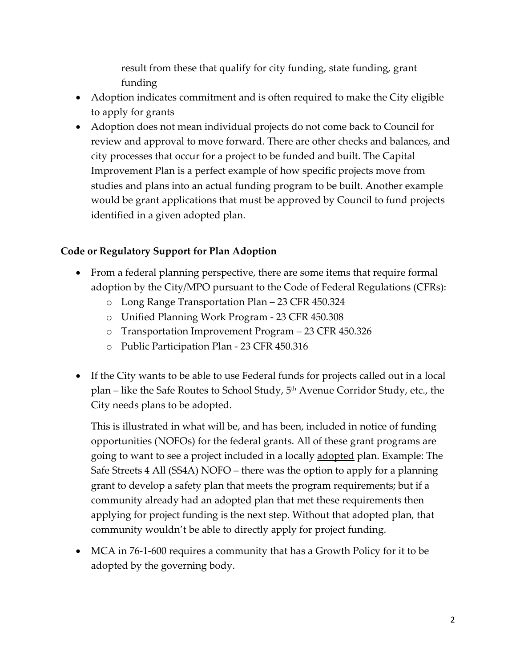result from these that qualify for city funding, state funding, grant funding

- Adoption indicates commitment and is often required to make the City eligible to apply for grants
- Adoption does not mean individual projects do not come back to Council for review and approval to move forward. There are other checks and balances, and city processes that occur for a project to be funded and built. The Capital Improvement Plan is a perfect example of how specific projects move from studies and plans into an actual funding program to be built. Another example would be grant applications that must be approved by Council to fund projects identified in a given adopted plan.

#### **Code or Regulatory Support for Plan Adoption**

- From a federal planning perspective, there are some items that require formal adoption by the City/MPO pursuant to the Code of Federal Regulations (CFRs):
	- o Long Range Transportation Plan 23 CFR 450.324
	- o Unified Planning Work Program 23 CFR 450.308
	- o Transportation Improvement Program 23 CFR 450.326
	- o Public Participation Plan 23 CFR 450.316
- If the City wants to be able to use Federal funds for projects called out in a local plan – like the Safe Routes to School Study, 5<sup>th</sup> Avenue Corridor Study, etc., the City needs plans to be adopted.

This is illustrated in what will be, and has been, included in notice of funding opportunities (NOFOs) for the federal grants. All of these grant programs are going to want to see a project included in a locally adopted plan. Example: The Safe Streets 4 All (SS4A) NOFO – there was the option to apply for a planning grant to develop a safety plan that meets the program requirements; but if a community already had an adopted plan that met these requirements then applying for project funding is the next step. Without that adopted plan, that community wouldn't be able to directly apply for project funding.

• MCA in 76-1-600 requires a community that has a Growth Policy for it to be adopted by the governing body.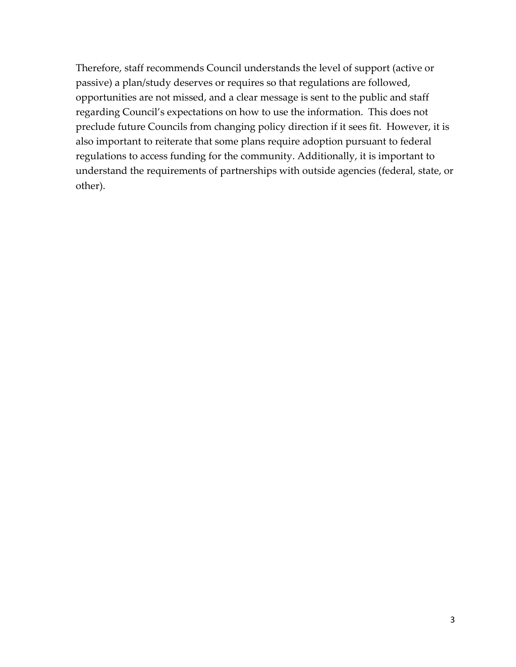Therefore, staff recommends Council understands the level of support (active or passive) a plan/study deserves or requires so that regulations are followed, opportunities are not missed, and a clear message is sent to the public and staff regarding Council's expectations on how to use the information. This does not preclude future Councils from changing policy direction if it sees fit. However, it is also important to reiterate that some plans require adoption pursuant to federal regulations to access funding for the community. Additionally, it is important to understand the requirements of partnerships with outside agencies (federal, state, or other).